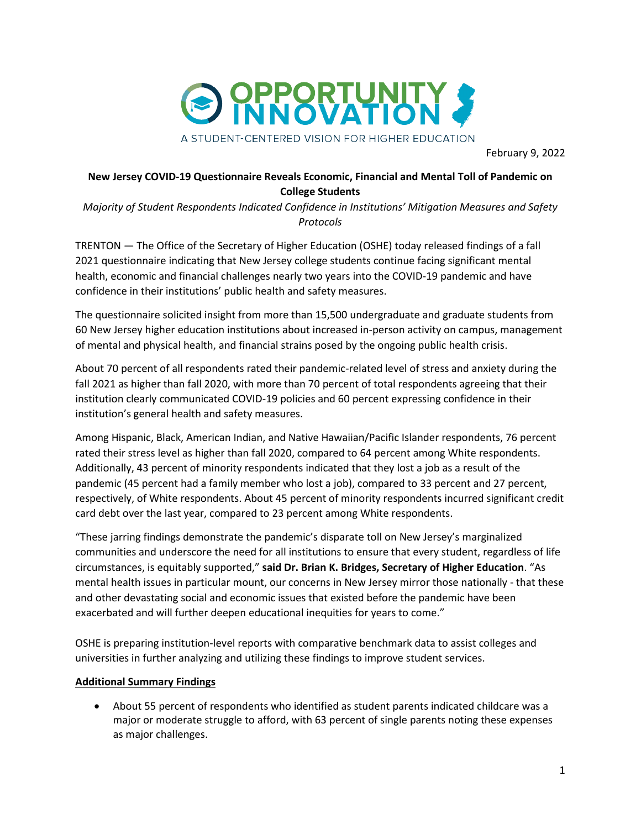

February 9, 2022

## **New Jersey COVID-19 Questionnaire Reveals Economic, Financial and Mental Toll of Pandemic on College Students**

*Majority of Student Respondents Indicated Confidence in Institutions' Mitigation Measures and Safety Protocols*

TRENTON — The Office of the Secretary of Higher Education (OSHE) today released findings of a fall 2021 questionnaire indicating that New Jersey college students continue facing significant mental health, economic and financial challenges nearly two years into the COVID-19 pandemic and have confidence in their institutions' public health and safety measures.

The questionnaire solicited insight from more than 15,500 undergraduate and graduate students from 60 New Jersey higher education institutions about increased in-person activity on campus, management of mental and physical health, and financial strains posed by the ongoing public health crisis.

About 70 percent of all respondents rated their pandemic-related level of stress and anxiety during the fall 2021 as higher than fall 2020, with more than 70 percent of total respondents agreeing that their institution clearly communicated COVID-19 policies and 60 percent expressing confidence in their institution's general health and safety measures.

Among Hispanic, Black, American Indian, and Native Hawaiian/Pacific Islander respondents, 76 percent rated their stress level as higher than fall 2020, compared to 64 percent among White respondents. Additionally, 43 percent of minority respondents indicated that they lost a job as a result of the pandemic (45 percent had a family member who lost a job), compared to 33 percent and 27 percent, respectively, of White respondents. About 45 percent of minority respondents incurred significant credit card debt over the last year, compared to 23 percent among White respondents.

"These jarring findings demonstrate the pandemic's disparate toll on New Jersey's marginalized communities and underscore the need for all institutions to ensure that every student, regardless of life circumstances, is equitably supported," **said Dr. Brian K. Bridges, Secretary of Higher Education**. "As mental health issues in particular mount, our concerns in New Jersey mirror those nationally - that these and other devastating social and economic issues that existed before the pandemic have been exacerbated and will further deepen educational inequities for years to come."

OSHE is preparing institution-level reports with comparative benchmark data to assist colleges and universities in further analyzing and utilizing these findings to improve student services.

## **Additional Summary Findings**

• About 55 percent of respondents who identified as student parents indicated childcare was a major or moderate struggle to afford, with 63 percent of single parents noting these expenses as major challenges.